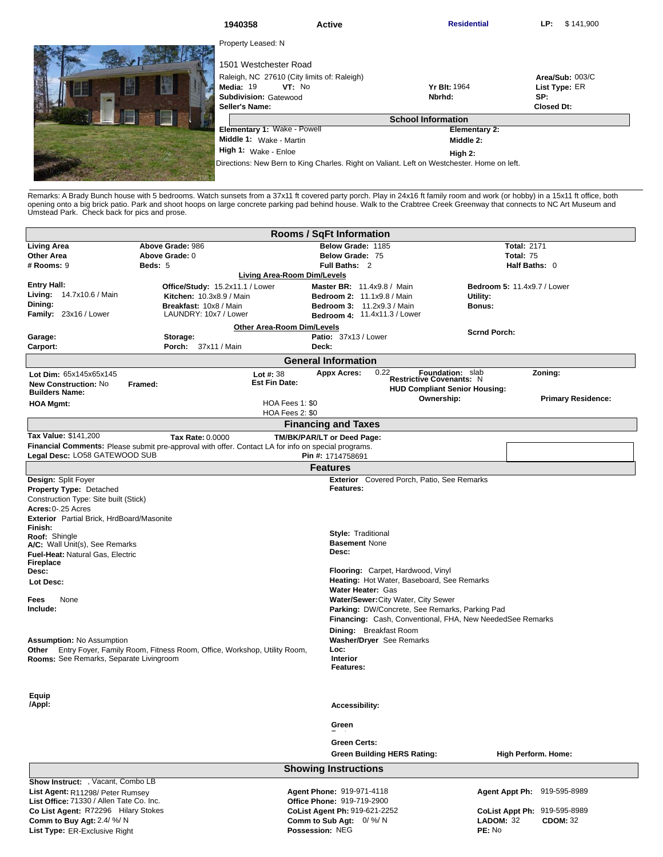| 1940358                                                                                    | <b>Active</b>                               | <b>Residential</b>   | \$141,900<br>LP:  |  |  |
|--------------------------------------------------------------------------------------------|---------------------------------------------|----------------------|-------------------|--|--|
| Property Leased: N                                                                         |                                             |                      |                   |  |  |
| 1501 Westchester Road                                                                      |                                             |                      |                   |  |  |
|                                                                                            | Raleigh, NC 27610 (City limits of: Raleigh) |                      | Area/Sub: 003/C   |  |  |
| Media: 19                                                                                  | VT: No                                      | <b>Yr Blt: 1964</b>  | List Type: ER     |  |  |
| Subdivision: Gatewood                                                                      |                                             | Nbrhd:               | SP:               |  |  |
| Seller's Name:                                                                             |                                             |                      | <b>Closed Dt:</b> |  |  |
| <b>School Information</b>                                                                  |                                             |                      |                   |  |  |
| Elementary 1: Wake - Powell                                                                |                                             | <b>Elementary 2:</b> |                   |  |  |
| Middle 1: Wake - Martin                                                                    |                                             | Middle 2:            |                   |  |  |
| High 1: Wake - Enloe                                                                       |                                             | High 2:              |                   |  |  |
| Directions: New Bern to King Charles. Right on Valiant. Left on Westchester. Home on left. |                                             |                      |                   |  |  |
|                                                                                            |                                             |                      |                   |  |  |

Remarks: A Brady Bunch house with 5 bedrooms. Watch sunsets from a 37x11 ft covered party porch. Play in 24x16 ft family room and work (or hobby) in a 15x11 ft office, both<br>opening onto a big brick patio. Park and shoot ho

| <b>Rooms / SqFt Information</b>                                         |                                                                                                     |                            |                                                                 |                                      |                                    |  |  |  |
|-------------------------------------------------------------------------|-----------------------------------------------------------------------------------------------------|----------------------------|-----------------------------------------------------------------|--------------------------------------|------------------------------------|--|--|--|
| <b>Living Area</b>                                                      | Above Grade: 986                                                                                    |                            | Below Grade: 1185                                               |                                      | <b>Total: 2171</b>                 |  |  |  |
| <b>Other Area</b>                                                       | Above Grade: 0                                                                                      |                            | Below Grade: 75                                                 |                                      | Total: 75                          |  |  |  |
| # Rooms: 9                                                              | Beds: 5                                                                                             |                            | Full Baths: 2                                                   |                                      | Half Baths: 0                      |  |  |  |
|                                                                         | Living Area-Room Dim/Levels                                                                         |                            |                                                                 |                                      |                                    |  |  |  |
| <b>Entry Hall:</b><br>Living: 14.7x10.6 / Main                          | Office/Study: 15.2x11.1 / Lower<br><b>Kitchen: 10.3x8.9 / Main</b>                                  |                            | Master BR: 11.4x9.8 / Main<br><b>Bedroom 2: 11.1x9.8 / Main</b> |                                      | <b>Bedroom 5: 11.4x9.7 / Lower</b> |  |  |  |
| Dining:                                                                 | Breakfast: 10x8 / Main                                                                              |                            | <b>Bedroom 3: 11.2x9.3 / Main</b>                               | Utility:<br>Bonus:                   |                                    |  |  |  |
| Family: 23x16 / Lower                                                   | LAUNDRY: 10x7 / Lower                                                                               |                            | Bedroom 4: 11.4x11.3 / Lower                                    |                                      |                                    |  |  |  |
|                                                                         |                                                                                                     | Other Area-Room Dim/Levels |                                                                 |                                      |                                    |  |  |  |
| Garage:                                                                 | Storage:                                                                                            |                            | Patio: 37x13 / Lower                                            | <b>Scrnd Porch:</b>                  |                                    |  |  |  |
| Carport:                                                                | Porch: 37x11 / Main                                                                                 |                            | Deck:                                                           |                                      |                                    |  |  |  |
|                                                                         |                                                                                                     |                            | <b>General Information</b>                                      |                                      |                                    |  |  |  |
| Lot Dim: 65x145x65x145                                                  |                                                                                                     | Lot $#: 38$                | 0.22<br><b>Appx Acres:</b>                                      | <b>Foundation: slab</b>              | Zoning:                            |  |  |  |
| <b>New Construction: No</b>                                             | Framed:                                                                                             | <b>Est Fin Date:</b>       |                                                                 | <b>Restrictive Covenants: N</b>      |                                    |  |  |  |
| <b>Builders Name:</b>                                                   |                                                                                                     |                            |                                                                 | <b>HUD Compliant Senior Housing:</b> |                                    |  |  |  |
| <b>HOA Mgmt:</b>                                                        |                                                                                                     | HOA Fees 1: \$0            |                                                                 | Ownership:                           | <b>Primary Residence:</b>          |  |  |  |
|                                                                         |                                                                                                     | HOA Fees 2: \$0            |                                                                 |                                      |                                    |  |  |  |
|                                                                         |                                                                                                     |                            | <b>Financing and Taxes</b>                                      |                                      |                                    |  |  |  |
| Tax Value: \$141,200                                                    | <b>Tax Rate: 0.0000</b>                                                                             |                            | TM/BK/PAR/LT or Deed Page:                                      |                                      |                                    |  |  |  |
| Legal Desc: LO58 GATEWOOD SUB                                           | Financial Comments: Please submit pre-approval with offer. Contact LA for info on special programs. |                            | Pin #: 1714758691                                               |                                      |                                    |  |  |  |
|                                                                         |                                                                                                     |                            |                                                                 |                                      |                                    |  |  |  |
|                                                                         |                                                                                                     |                            | <b>Features</b>                                                 |                                      |                                    |  |  |  |
| Design: Split Foyer                                                     |                                                                                                     |                            | <b>Exterior</b> Covered Porch, Patio, See Remarks<br>Features:  |                                      |                                    |  |  |  |
| <b>Property Type: Detached</b><br>Construction Type: Site built (Stick) |                                                                                                     |                            |                                                                 |                                      |                                    |  |  |  |
| Acres: 0-.25 Acres                                                      |                                                                                                     |                            |                                                                 |                                      |                                    |  |  |  |
| Exterior Partial Brick, HrdBoard/Masonite                               |                                                                                                     |                            |                                                                 |                                      |                                    |  |  |  |
| Finish:                                                                 |                                                                                                     |                            |                                                                 |                                      |                                    |  |  |  |
| Roof: Shingle                                                           |                                                                                                     |                            | <b>Style: Traditional</b>                                       |                                      |                                    |  |  |  |
| A/C: Wall Unit(s), See Remarks                                          |                                                                                                     |                            | <b>Basement None</b><br><b>Desc:</b>                            |                                      |                                    |  |  |  |
| Fuel-Heat: Natural Gas, Electric<br><b>Fireplace</b>                    |                                                                                                     |                            |                                                                 |                                      |                                    |  |  |  |
| Desc:                                                                   |                                                                                                     |                            | Flooring: Carpet, Hardwood, Vinyl                               |                                      |                                    |  |  |  |
| Lot Desc:                                                               |                                                                                                     |                            | Heating: Hot Water, Baseboard, See Remarks                      |                                      |                                    |  |  |  |
|                                                                         |                                                                                                     |                            | <b>Water Heater: Gas</b>                                        |                                      |                                    |  |  |  |
| None<br>Fees                                                            |                                                                                                     |                            | Water/Sewer: City Water, City Sewer                             |                                      |                                    |  |  |  |
| Include:                                                                |                                                                                                     |                            | Parking: DW/Concrete, See Remarks, Parking Pad                  |                                      |                                    |  |  |  |
|                                                                         |                                                                                                     |                            | Financing: Cash, Conventional, FHA, New NeededSee Remarks       |                                      |                                    |  |  |  |
|                                                                         |                                                                                                     |                            | <b>Dining:</b> Breakfast Room                                   |                                      |                                    |  |  |  |
| <b>Assumption: No Assumption</b>                                        |                                                                                                     |                            | <b>Washer/Dryer</b> See Remarks                                 |                                      |                                    |  |  |  |
| Rooms: See Remarks, Separate Livingroom                                 | Other Entry Foyer, Family Room, Fitness Room, Office, Workshop, Utility Room,                       |                            | Loc:<br><b>Interior</b>                                         |                                      |                                    |  |  |  |
|                                                                         |                                                                                                     |                            |                                                                 | Features:                            |                                    |  |  |  |
|                                                                         |                                                                                                     |                            |                                                                 |                                      |                                    |  |  |  |
|                                                                         |                                                                                                     |                            |                                                                 |                                      |                                    |  |  |  |
| Equip<br>/Appl:                                                         |                                                                                                     |                            |                                                                 |                                      |                                    |  |  |  |
|                                                                         |                                                                                                     |                            | <b>Accessibility:</b>                                           |                                      |                                    |  |  |  |
|                                                                         |                                                                                                     |                            | Green                                                           |                                      |                                    |  |  |  |
|                                                                         |                                                                                                     |                            |                                                                 |                                      |                                    |  |  |  |
|                                                                         |                                                                                                     |                            | Green Certs:                                                    |                                      |                                    |  |  |  |
|                                                                         |                                                                                                     |                            | <b>Green Building HERS Rating:</b>                              |                                      | <b>High Perform. Home:</b>         |  |  |  |
| <b>Showing Instructions</b>                                             |                                                                                                     |                            |                                                                 |                                      |                                    |  |  |  |
| Show Instruct: , Vacant, Combo LB                                       |                                                                                                     |                            |                                                                 |                                      |                                    |  |  |  |
| List Agent: R11298/ Peter Rumsey                                        |                                                                                                     |                            | Agent Phone: 919-971-4118                                       |                                      | Agent Appt Ph: 919-595-8989        |  |  |  |
| List Office: 71330 / Allen Tate Co. Inc.                                |                                                                                                     |                            | Office Phone: 919-719-2900                                      |                                      |                                    |  |  |  |
| Co List Agent: R72296 Hilary Stokes                                     |                                                                                                     |                            | CoList Agent Ph: 919-621-2252                                   |                                      | CoList Appt Ph: 919-595-8989       |  |  |  |
| Comm to Buy Agt: 2.4/ %/ N                                              |                                                                                                     |                            | Comm to Sub Agt: $0/$ %/N                                       | <b>LADOM: 32</b>                     | <b>CDOM: 32</b>                    |  |  |  |
| List Type: ER-Exclusive Right                                           |                                                                                                     |                            | Possession: NEG                                                 | PE: No                               |                                    |  |  |  |